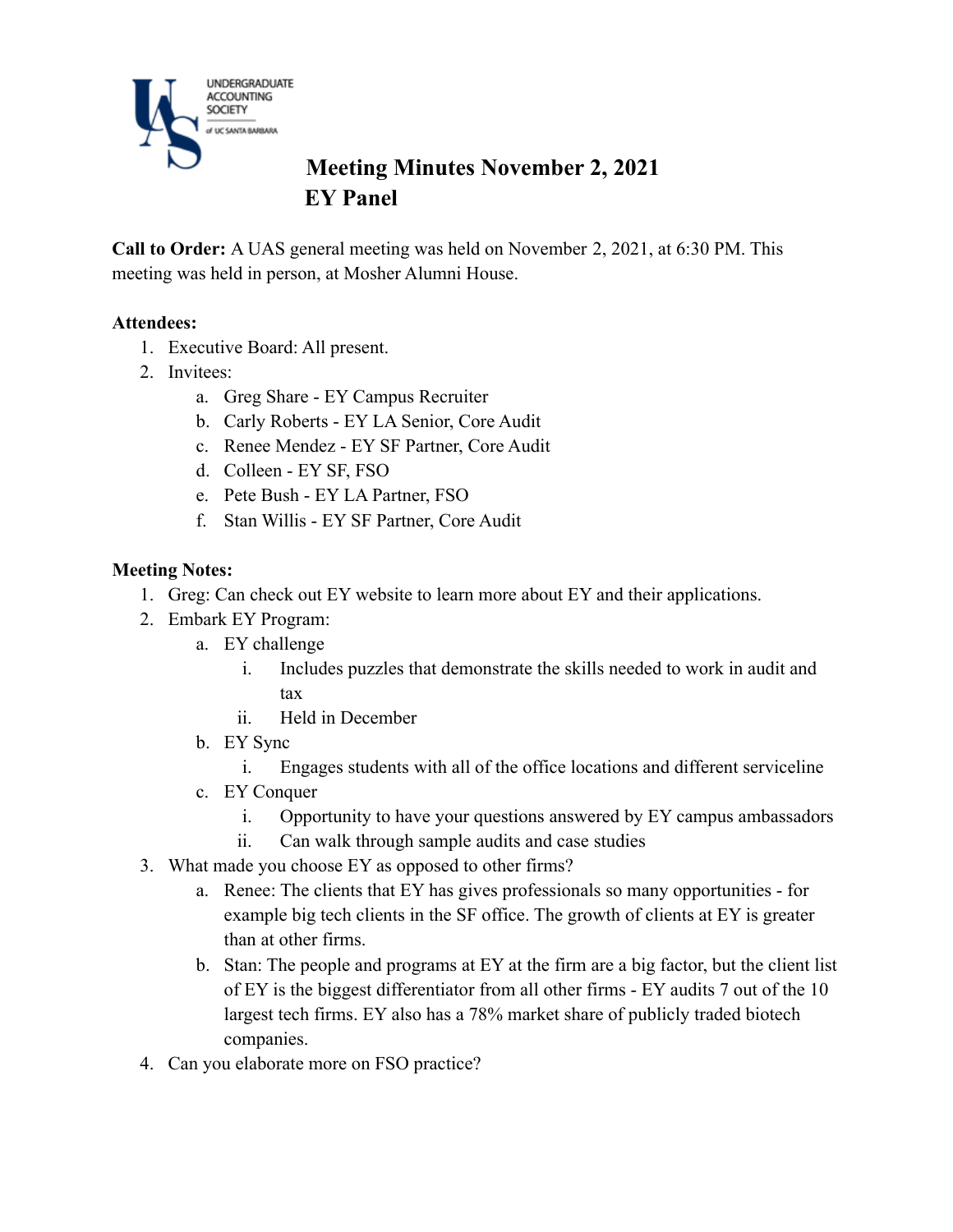

# **Meeting Minutes November 2, 2021 EY Panel**

**Call to Order:** A UAS general meeting was held on November 2, 2021, at 6:30 PM. This meeting was held in person, at Mosher Alumni House.

#### **Attendees:**

- 1. Executive Board: All present.
- 2. Invitees:
	- a. Greg Share EY Campus Recruiter
	- b. Carly Roberts EY LA Senior, Core Audit
	- c. Renee Mendez EY SF Partner, Core Audit
	- d. Colleen EY SF, FSO
	- e. Pete Bush EY LA Partner, FSO
	- f. Stan Willis EY SF Partner, Core Audit

#### **Meeting Notes:**

- 1. Greg: Can check out EY website to learn more about EY and their applications.
- 2. Embark EY Program:
	- a. EY challenge
		- i. Includes puzzles that demonstrate the skills needed to work in audit and tax
		- ii. Held in December
	- b. EY Sync
		- i. Engages students with all of the office locations and different serviceline
	- c. EY Conquer
		- i. Opportunity to have your questions answered by EY campus ambassadors
		- ii. Can walk through sample audits and case studies
- 3. What made you choose EY as opposed to other firms?
	- a. Renee: The clients that EY has gives professionals so many opportunities for example big tech clients in the SF office. The growth of clients at EY is greater than at other firms.
	- b. Stan: The people and programs at EY at the firm are a big factor, but the client list of EY is the biggest differentiator from all other firms - EY audits 7 out of the 10 largest tech firms. EY also has a 78% market share of publicly traded biotech companies.
- 4. Can you elaborate more on FSO practice?